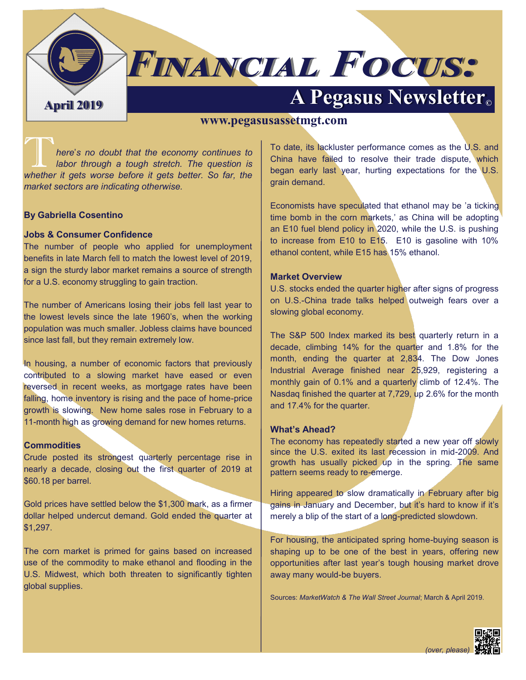

# **FINANCIAL FOCUS:**

## **April 2019 A Pegasus Newsletter©**

#### **www.pegasusassetmgt.com**

T*here*'*s no doubt that the economy continues to labor through a tough stretch. The question is whether it gets worse before it gets better. So far, the market sectors are indicating otherwise.*

#### **By Gabriella Cosentino**

#### **Jobs & Consumer Confidence**

The number of people who applied for unemployment benefits in late March fell to match the lowest level of 2019, a sign the sturdy labor market remains a source of strength for a U.S. economy struggling to gain traction.

The number of Americans losing their jobs fell last year to the lowest levels since the late 1960's, when the working population was much smaller. Jobless claims have bounced since last fall, but they remain extremely low.

In housing, a number of economic factors that previously contributed to a slowing market have eased or even reversed in recent weeks, as mortgage rates have been falling, home inventory is rising and the pace of home-price growth is slowing. New home sales rose in February to a 11-month high as growing demand for new homes returns.

#### **Commodities**

Crude posted its strongest quarterly percentage rise in nearly a decade, closing out the first quarter of 2019 at \$60.18 per barrel.

Gold prices have settled below the \$1,300 mark, as a firmer dollar helped undercut demand. Gold ended the quarter at \$1,297.

The corn market is primed for gains based on increased use of the commodity to make ethanol and flooding in the U.S. Midwest, which both threaten to significantly tighten global supplies.

To date, its lackluster performance comes as the U.S. and China have failed to resolve their trade dispute, which began early last year, hurting expectations for the U.S. grain demand.

Economists have speculated that ethanol may be 'a ticking time bomb in the corn markets,' as China will be adopting an E10 fuel blend policy in 2020, while the U.S. is pushing to increase from E10 to E15. E10 is gasoline with 10% ethanol content, while E15 has 15% ethanol.

#### **Market Overview**

U.S. stocks ended the quarter higher after signs of progress on U.S.-China trade talks helped outweigh fears over a slowing global economy.

The S&P 500 Index marked its best quarterly return in a decade, climbing 14% for the quarter and 1.8% for the month, ending the quarter at 2,834. The Dow Jones Industrial Average finished near 25,929, registering a monthly gain of 0.1% and a quarterly climb of 12.4%. The Nasdaq finished the quarter at 7,729, up 2.6% for the month and 17.4% for the quarter.

#### **What's Ahead?**

The economy has repeatedly started a new year off slowly since the U.S. exited its last recession in mid-2009. And growth has usually picked up in the spring. The same pattern seems ready to re-emerge.

Hiring appeared to slow dramatically in February after big gains in January and December, but it's hard to know if it's merely a blip of the start of a long-predicted slowdown.

For housing, the anticipated spring home-buying season is shaping up to be one of the best in years, offering new opportunities after last year's tough housing market drove away many would-be buyers.

Sources: *MarketWatch & The Wall Street Journal*; March & April 2019.